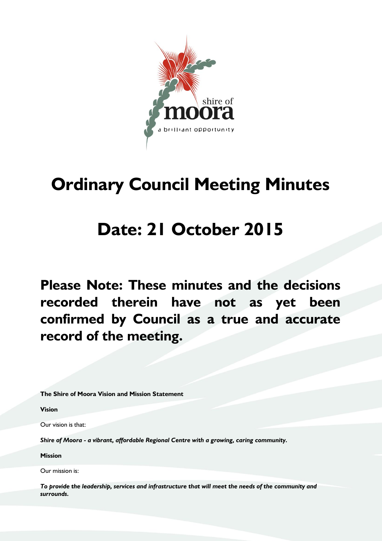

# **Ordinary Council Meeting Minutes**

## **Date: 21 October 2015**

**Please Note: These minutes and the decisions recorded therein have not as yet been confirmed by Council as a true and accurate record of the meeting.**

**The Shire of Moora Vision and Mission Statement**

**Vision**

Our vision is that:

*Shire of Moora - a vibrant, affordable Regional Centre with a growing, caring community.*

**Mission**

Our mission is:

*To provide the leadership, services and infrastructure that will meet the needs of the community and surrounds.*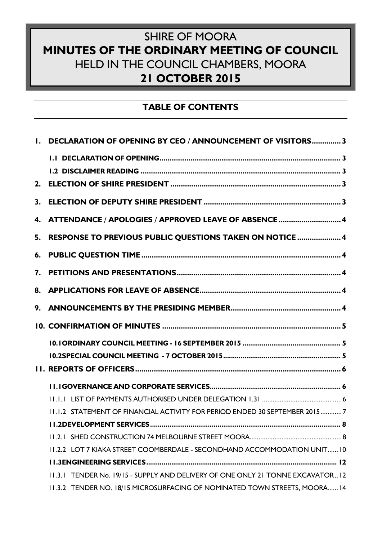## SHIRE OF MOORA **MINUTES OF THE ORDINARY MEETING OF COUNCIL** HELD IN THE COUNCIL CHAMBERS, MOORA **21 OCTOBER 2015**

## **TABLE OF CONTENTS**

| I. DECLARATION OF OPENING BY CEO / ANNOUNCEMENT OF VISITORS3 |                                                                                |  |
|--------------------------------------------------------------|--------------------------------------------------------------------------------|--|
|                                                              |                                                                                |  |
|                                                              |                                                                                |  |
| 2.                                                           |                                                                                |  |
| 3.                                                           |                                                                                |  |
| 4.                                                           | ATTENDANCE / APOLOGIES / APPROVED LEAVE OF ABSENCE  4                          |  |
| 5.                                                           | RESPONSE TO PREVIOUS PUBLIC QUESTIONS TAKEN ON NOTICE  4                       |  |
| 6.                                                           |                                                                                |  |
| 7.                                                           |                                                                                |  |
|                                                              |                                                                                |  |
|                                                              |                                                                                |  |
|                                                              |                                                                                |  |
|                                                              |                                                                                |  |
|                                                              |                                                                                |  |
|                                                              |                                                                                |  |
|                                                              |                                                                                |  |
|                                                              |                                                                                |  |
|                                                              | 11.1.2 STATEMENT OF FINANCIAL ACTIVITY FOR PERIOD ENDED 30 SEPTEMBER 20157     |  |
|                                                              |                                                                                |  |
|                                                              |                                                                                |  |
|                                                              | 11.2.2 LOT 7 KIAKA STREET COOMBERDALE - SECONDHAND ACCOMMODATION UNIT10        |  |
|                                                              |                                                                                |  |
|                                                              | 11.3.1 TENDER No. 19/15 - SUPPLY AND DELIVERY OF ONE ONLY 21 TONNE EXCAVATOR12 |  |
|                                                              | 11.3.2 TENDER NO. 18/15 MICROSURFACING OF NOMINATED TOWN STREETS, MOORA 14     |  |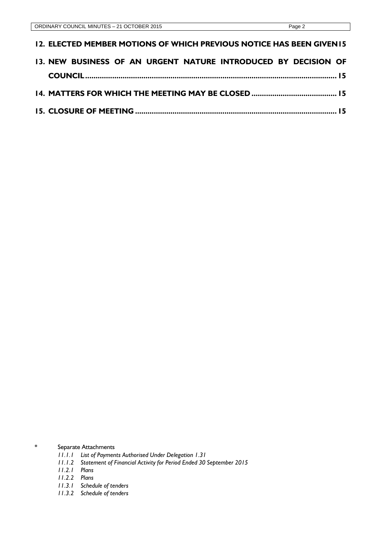| 13. NEW BUSINESS OF AN URGENT NATURE INTRODUCED BY DECISION OF        |  |
|-----------------------------------------------------------------------|--|
| 12. ELECTED MEMBER MOTIONS OF WHICH PREVIOUS NOTICE HAS BEEN GIVEN 15 |  |

\* Separate Attachments

- *11.1.1 List of Payments Authorised Under Delegation 1.31*
- *11.1.2 Statement of Financial Activity for Period Ended 30 September 2015*
- *11.2.1 Plans*
- *11.2.2 Plans*
- *11.3.1 Schedule of tenders*
- *11.3.2 Schedule of tenders*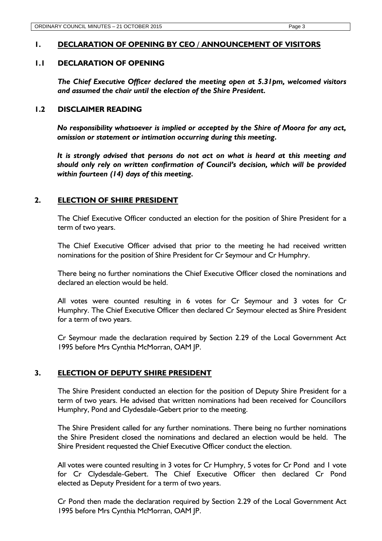## <span id="page-3-0"></span>**1. DECLARATION OF OPENING BY CEO / ANNOUNCEMENT OF VISITORS**

## <span id="page-3-1"></span>**1.1 DECLARATION OF OPENING**

*The Chief Executive Officer declared the meeting open at 5.31pm, welcomed visitors and assumed the chair until the election of the Shire President.* 

## <span id="page-3-2"></span>**1.2 DISCLAIMER READING**

*No responsibility whatsoever is implied or accepted by the Shire of Moora for any act, omission or statement or intimation occurring during this meeting.* 

*It is strongly advised that persons do not act on what is heard at this meeting and should only rely on written confirmation of Council's decision, which will be provided within fourteen (14) days of this meeting.*

## <span id="page-3-3"></span>**2. ELECTION OF SHIRE PRESIDENT**

The Chief Executive Officer conducted an election for the position of Shire President for a term of two years.

The Chief Executive Officer advised that prior to the meeting he had received written nominations for the position of Shire President for Cr Seymour and Cr Humphry.

There being no further nominations the Chief Executive Officer closed the nominations and declared an election would be held.

All votes were counted resulting in 6 votes for Cr Seymour and 3 votes for Cr Humphry. The Chief Executive Officer then declared Cr Seymour elected as Shire President for a term of two years.

Cr Seymour made the declaration required by Section 2.29 of the Local Government Act 1995 before Mrs Cynthia McMorran, OAM JP.

## <span id="page-3-4"></span>**3. ELECTION OF DEPUTY SHIRE PRESIDENT**

The Shire President conducted an election for the position of Deputy Shire President for a term of two years. He advised that written nominations had been received for Councillors Humphry, Pond and Clydesdale-Gebert prior to the meeting.

The Shire President called for any further nominations. There being no further nominations the Shire President closed the nominations and declared an election would be held. The Shire President requested the Chief Executive Officer conduct the election.

All votes were counted resulting in 3 votes for Cr Humphry, 5 votes for Cr Pond and 1 vote for Cr Clydesdale-Gebert. The Chief Executive Officer then declared Cr Pond elected as Deputy President for a term of two years.

Cr Pond then made the declaration required by Section 2.29 of the Local Government Act 1995 before Mrs Cynthia McMorran, OAM JP.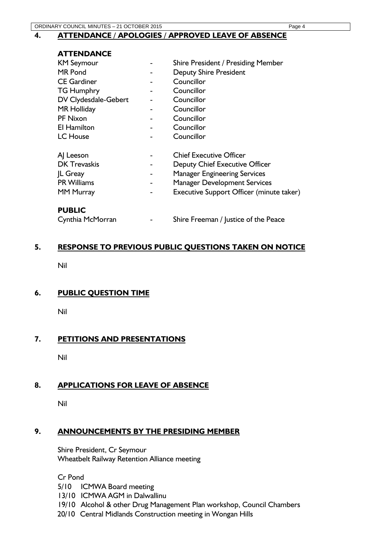## <span id="page-4-0"></span>**4. ATTENDANCE / APOLOGIES / APPROVED LEAVE OF ABSENCE**

## **ATTENDANCE** KM Seymour **No. 2018** - Shire President / Presiding Member MR Pond **NR Pond 2008** - Deputy Shire President CE Gardiner **COUNCILLE 1** Councillor TG Humphry **Fig. 2** Councillor DV Clydesdale-Gebert - Councillor MR Holliday **Access 1-3 Follow Councillor** PF Nixon **-** Councillor EI Hamilton **EI Hamilton Fig. 1** Fig. 2 Councillor LC House **Councillor** AI Leeson **And Leeson -** Chief Executive Officer DK Trevaskis The Seputy Chief Executive Officer JL Greay - Manager Engineering Services PR Williams **Ranger Development Services** MM Murray **MM** Murray **Receutive Support Officer** (minute taker)

## **PUBLIC**

Cynthia McMorran The Shire Freeman / Justice of the Peace

## <span id="page-4-1"></span>**5. RESPONSE TO PREVIOUS PUBLIC QUESTIONS TAKEN ON NOTICE**

Nil

## <span id="page-4-2"></span>**6. PUBLIC QUESTION TIME**

Nil

## <span id="page-4-3"></span>**7. PETITIONS AND PRESENTATIONS**

Nil

## <span id="page-4-4"></span>**8. APPLICATIONS FOR LEAVE OF ABSENCE**

Nil

## <span id="page-4-5"></span>**9. ANNOUNCEMENTS BY THE PRESIDING MEMBER**

Shire President, Cr Seymour Wheatbelt Railway Retention Alliance meeting

Cr Pond

5/10 ICMWA Board meeting

- 13/10 ICMWA AGM in Dalwallinu
- 19/10 Alcohol & other Drug Management Plan workshop, Council Chambers
- 20/10 Central Midlands Construction meeting in Wongan Hills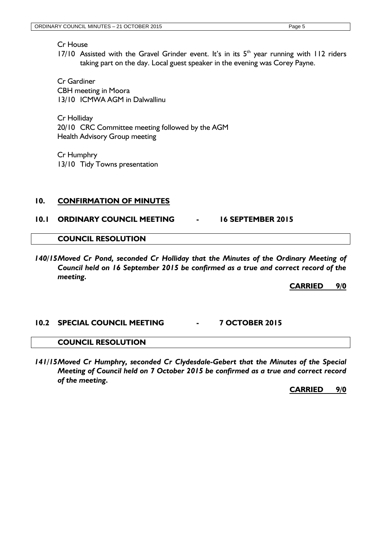Cr House

17/10 Assisted with the Gravel Grinder event. It's in its  $5<sup>th</sup>$  year running with 112 riders taking part on the day. Local guest speaker in the evening was Corey Payne.

Cr Gardiner CBH meeting in Moora 13/10 ICMWA AGM in Dalwallinu

Cr Holliday 20/10 CRC Committee meeting followed by the AGM Health Advisory Group meeting

Cr Humphry 13/10 Tidy Towns presentation

## <span id="page-5-0"></span>**10. CONFIRMATION OF MINUTES**

## <span id="page-5-1"></span>**10.1 ORDINARY COUNCIL MEETING - 16 SEPTEMBER 2015**

## **COUNCIL RESOLUTION**

*140/15Moved Cr Pond, seconded Cr Holliday that the Minutes of the Ordinary Meeting of Council held on 16 September 2015 be confirmed as a true and correct record of the meeting.*

**CARRIED 9/0**

## <span id="page-5-2"></span>**10.2 SPECIAL COUNCIL MEETING - 7 OCTOBER 2015**

## **COUNCIL RESOLUTION**

*141/15Moved Cr Humphry, seconded Cr Clydesdale-Gebert that the Minutes of the Special Meeting of Council held on 7 October 2015 be confirmed as a true and correct record of the meeting.*

**CARRIED 9/0**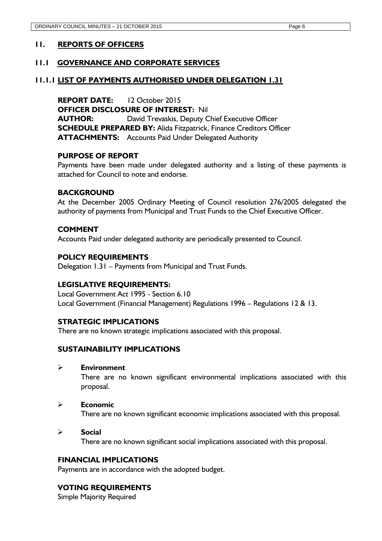## <span id="page-6-0"></span>**11. REPORTS OF OFFICERS**

## <span id="page-6-1"></span>**11.1 GOVERNANCE AND CORPORATE SERVICES**

## <span id="page-6-2"></span>**11.1.1 LIST OF PAYMENTS AUTHORISED UNDER DELEGATION 1.31**

**REPORT DATE:** 12 October 2015 **OFFICER DISCLOSURE OF INTEREST:** Nil **AUTHOR:** David Trevaskis, Deputy Chief Executive Officer **SCHEDULE PREPARED BY:** Alida Fitzpatrick, Finance Creditors Officer **ATTACHMENTS:** Accounts Paid Under Delegated Authority

## **PURPOSE OF REPORT**

Payments have been made under delegated authority and a listing of these payments is attached for Council to note and endorse.

## **BACKGROUND**

At the December 2005 Ordinary Meeting of Council resolution 276/2005 delegated the authority of payments from Municipal and Trust Funds to the Chief Executive Officer.

## **COMMENT**

Accounts Paid under delegated authority are periodically presented to Council.

## **POLICY REQUIREMENTS**

Delegation 1.31 – Payments from Municipal and Trust Funds.

#### **LEGISLATIVE REQUIREMENTS:**

Local Government Act 1995 - Section 6.10 Local Government (Financial Management) Regulations 1996 – Regulations 12 & 13.

## **STRATEGIC IMPLICATIONS**

There are no known strategic implications associated with this proposal.

#### **SUSTAINABILITY IMPLICATIONS**

**Environment**

There are no known significant environmental implications associated with this proposal.

#### **Economic**

There are no known significant economic implications associated with this proposal.

#### **Social**

There are no known significant social implications associated with this proposal.

#### **FINANCIAL IMPLICATIONS**

Payments are in accordance with the adopted budget.

## **VOTING REQUIREMENTS**

Simple Majority Required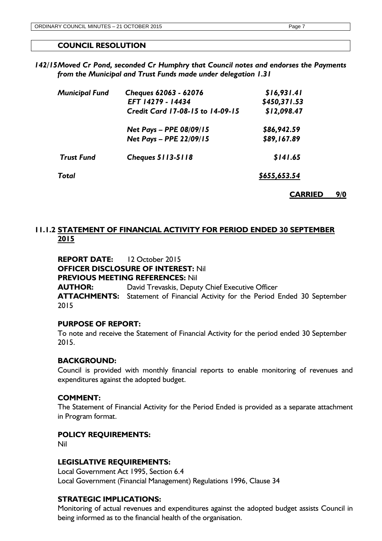## **COUNCIL RESOLUTION**

*142/15Moved Cr Pond, seconded Cr Humphry that Council notes and endorses the Payments from the Municipal and Trust Funds made under delegation 1.31*

| <b>Municipal Fund</b> | Cheques 62063 - 62076            | \$16,931.41  |
|-----------------------|----------------------------------|--------------|
|                       | EFT 14279 - 14434                | \$450,371.53 |
|                       | Credit Card 17-08-15 to 14-09-15 | \$12,098.47  |
|                       | Net Pays - PPE 08/09/15          | \$86,942.59  |
|                       | Net Pays - PPE 22/09/15          | \$89,167.89  |
| <b>Trust Fund</b>     | <b>Cheques 5113-5118</b>         | \$141.65     |
| Total                 | \$655,653.54                     |              |
|                       |                                  |              |

<span id="page-7-0"></span>**11.1.2 STATEMENT OF FINANCIAL ACTIVITY FOR PERIOD ENDED 30 SEPTEMBER 2015**

**REPORT DATE:** 12 October 2015 **OFFICER DISCLOSURE OF INTEREST:** Nil **PREVIOUS MEETING REFERENCES:** Nil **AUTHOR:** David Trevaskis, Deputy Chief Executive Officer **ATTACHMENTS:** Statement of Financial Activity for the Period Ended 30 September 2015

## **PURPOSE OF REPORT:**

To note and receive the Statement of Financial Activity for the period ended 30 September 2015.

#### **BACKGROUND:**

Council is provided with monthly financial reports to enable monitoring of revenues and expenditures against the adopted budget.

## **COMMENT:**

The Statement of Financial Activity for the Period Ended is provided as a separate attachment in Program format.

#### **POLICY REQUIREMENTS:**

Nil

#### **LEGISLATIVE REQUIREMENTS:**

Local Government Act 1995, Section 6.4 Local Government (Financial Management) Regulations 1996, Clause 34

## **STRATEGIC IMPLICATIONS:**

Monitoring of actual revenues and expenditures against the adopted budget assists Council in being informed as to the financial health of the organisation.

**CARRIED 9/0**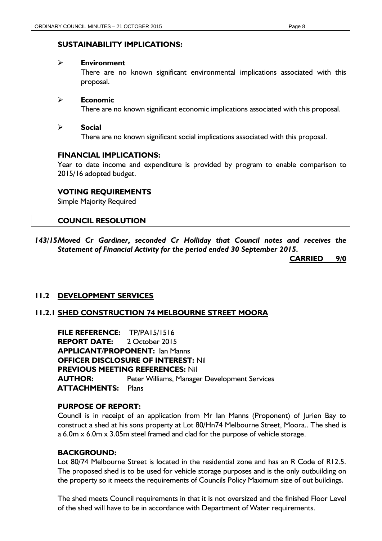## **SUSTAINABILITY IMPLICATIONS:**

### **Environment**

There are no known significant environmental implications associated with this proposal.

## **Economic**

There are no known significant economic implications associated with this proposal.

## **Social**

There are no known significant social implications associated with this proposal.

## **FINANCIAL IMPLICATIONS:**

Year to date income and expenditure is provided by program to enable comparison to 2015/16 adopted budget.

## **VOTING REQUIREMENTS**

Simple Majority Required

## **COUNCIL RESOLUTION**

*143/15Moved Cr Gardiner, seconded Cr Holliday that Council notes and receives the Statement of Financial Activity for the period ended 30 September 2015.*

**CARRIED 9/0**

## <span id="page-8-0"></span>**11.2 DEVELOPMENT SERVICES**

## <span id="page-8-1"></span>**11.2.1 SHED CONSTRUCTION 74 MELBOURNE STREET MOORA**

**FILE REFERENCE:** TP/PA15/1516 **REPORT DATE:** 2 October 2015 **APPLICANT/PROPONENT:** Ian Manns **OFFICER DISCLOSURE OF INTEREST:** Nil **PREVIOUS MEETING REFERENCES:** Nil **AUTHOR:** Peter Williams, Manager Development Services **ATTACHMENTS:** Plans

## **PURPOSE OF REPORT:**

Council is in receipt of an application from Mr Ian Manns (Proponent) of Jurien Bay to construct a shed at his sons property at Lot 80/Hn74 Melbourne Street, Moora.. The shed is a 6.0m x 6.0m x 3.05m steel framed and clad for the purpose of vehicle storage.

## **BACKGROUND:**

Lot 80/74 Melbourne Street is located in the residential zone and has an R Code of R12.5. The proposed shed is to be used for vehicle storage purposes and is the only outbuilding on the property so it meets the requirements of Councils Policy Maximum size of out buildings.

The shed meets Council requirements in that it is not oversized and the finished Floor Level of the shed will have to be in accordance with Department of Water requirements.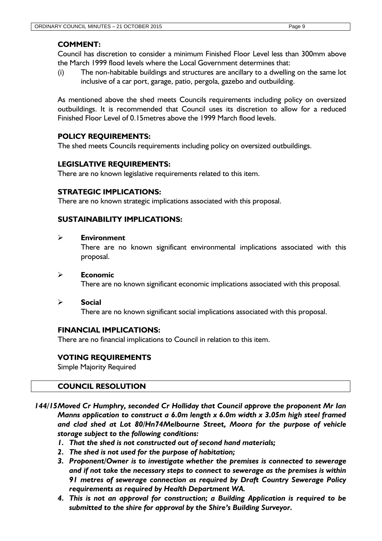## **COMMENT:**

Council has discretion to consider a minimum Finished Floor Level less than 300mm above the March 1999 flood levels where the Local Government determines that:

(i) The non-habitable buildings and structures are ancillary to a dwelling on the same lot inclusive of a car port, garage, patio, pergola, gazebo and outbuilding.

As mentioned above the shed meets Councils requirements including policy on oversized outbuildings. It is recommended that Council uses its discretion to allow for a reduced Finished Floor Level of 0.15metres above the 1999 March flood levels.

## **POLICY REQUIREMENTS:**

The shed meets Councils requirements including policy on oversized outbuildings.

## **LEGISLATIVE REQUIREMENTS:**

There are no known legislative requirements related to this item.

## **STRATEGIC IMPLICATIONS:**

There are no known strategic implications associated with this proposal.

## **SUSTAINABILITY IMPLICATIONS:**

## **Environment**

There are no known significant environmental implications associated with this proposal.

## **Economic**

There are no known significant economic implications associated with this proposal.

#### **Social**

There are no known significant social implications associated with this proposal.

## **FINANCIAL IMPLICATIONS:**

There are no financial implications to Council in relation to this item.

## **VOTING REQUIREMENTS**

Simple Majority Required

## **COUNCIL RESOLUTION**

- *144/15Moved Cr Humphry, seconded Cr Holliday that Council approve the proponent Mr Ian Manns application to construct a 6.0m length x 6.0m width x 3.05m high steel framed and clad shed at Lot 80/Hn74Melbourne Street, Moora for the purpose of vehicle storage subject to the following conditions:*
	- *1. That the shed is not constructed out of second hand materials;*
	- *2. The shed is not used for the purpose of habitation;*
	- *3. Proponent/Owner is to investigate whether the premises is connected to sewerage and if not take the necessary steps to connect to sewerage as the premises is within 91 metres of sewerage connection as required by Draft Country Sewerage Policy requirements as required by Health Department WA.*
	- *4. This is not an approval for construction; a Building Application is required to be submitted to the shire for approval by the Shire's Building Surveyor.*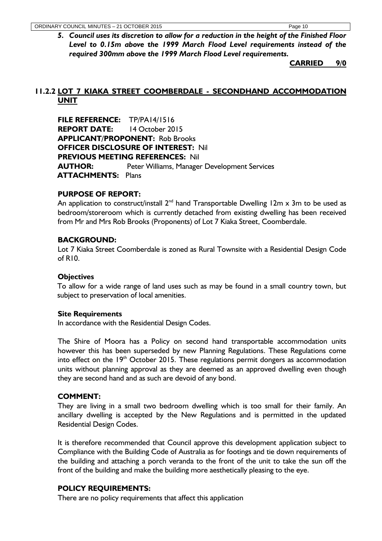*5. Council uses its discretion to allow for a reduction in the height of the Finished Floor Level to 0.15m above the 1999 March Flood Level requirements instead of the required 300mm above the 1999 March Flood Level requirements.*

**CARRIED 9/0**

## <span id="page-10-0"></span>**11.2.2 LOT 7 KIAKA STREET COOMBERDALE - SECONDHAND ACCOMMODATION UNIT**

**FILE REFERENCE:** TP/PA14/1516 **REPORT DATE:** 14 October 2015 **APPLICANT/PROPONENT:** Rob Brooks **OFFICER DISCLOSURE OF INTEREST:** Nil **PREVIOUS MEETING REFERENCES:** Nil **AUTHOR:** Peter Williams, Manager Development Services **ATTACHMENTS:** Plans

## **PURPOSE OF REPORT:**

An application to construct/install  $2^{nd}$  hand Transportable Dwelling 12m x 3m to be used as bedroom/storeroom which is currently detached from existing dwelling has been received from Mr and Mrs Rob Brooks (Proponents) of Lot 7 Kiaka Street, Coomberdale.

## **BACKGROUND:**

Lot 7 Kiaka Street Coomberdale is zoned as Rural Townsite with a Residential Design Code of R10.

## **Objectives**

To allow for a wide range of land uses such as may be found in a small country town, but subject to preservation of local amenities.

## **Site Requirements**

In accordance with the Residential Design Codes.

The Shire of Moora has a Policy on second hand transportable accommodation units however this has been superseded by new Planning Regulations. These Regulations come into effect on the  $19<sup>th</sup>$  October 2015. These regulations permit dongers as accommodation units without planning approval as they are deemed as an approved dwelling even though they are second hand and as such are devoid of any bond.

## **COMMENT:**

They are living in a small two bedroom dwelling which is too small for their family. An ancillary dwelling is accepted by the New Regulations and is permitted in the updated Residential Design Codes.

It is therefore recommended that Council approve this development application subject to Compliance with the Building Code of Australia as for footings and tie down requirements of the building and attaching a porch veranda to the front of the unit to take the sun off the front of the building and make the building more aesthetically pleasing to the eye.

## **POLICY REQUIREMENTS:**

There are no policy requirements that affect this application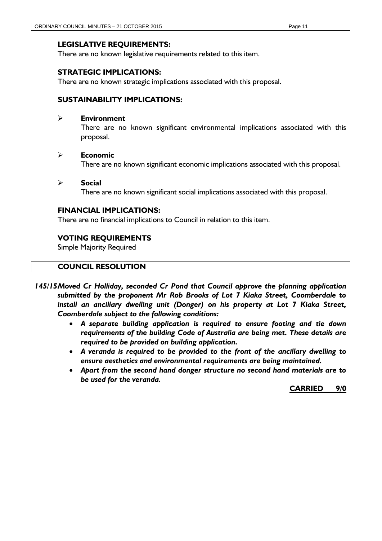## **LEGISLATIVE REQUIREMENTS:**

There are no known legislative requirements related to this item.

## **STRATEGIC IMPLICATIONS:**

There are no known strategic implications associated with this proposal.

## **SUSTAINABILITY IMPLICATIONS:**

## **Environment**

There are no known significant environmental implications associated with this proposal.

## **Economic**

There are no known significant economic implications associated with this proposal.

#### **Social**

There are no known significant social implications associated with this proposal.

## **FINANCIAL IMPLICATIONS:**

There are no financial implications to Council in relation to this item.

## **VOTING REQUIREMENTS**

Simple Majority Required

## **COUNCIL RESOLUTION**

- *145/15Moved Cr Holliday, seconded Cr Pond that Council approve the planning application submitted by the proponent Mr Rob Brooks of Lot 7 Kiaka Street, Coomberdale to install an ancillary dwelling unit (Donger) on his property at Lot 7 Kiaka Street, Coomberdale subject to the following conditions:*
	- *A separate building application is required to ensure footing and tie down requirements of the building Code of Australia are being met. These details are required to be provided on building application.*
	- *A veranda is required to be provided to the front of the ancillary dwelling to ensure aesthetics and environmental requirements are being maintained.*
	- *Apart from the second hand donger structure no second hand materials are to be used for the veranda.*

**CARRIED 9/0**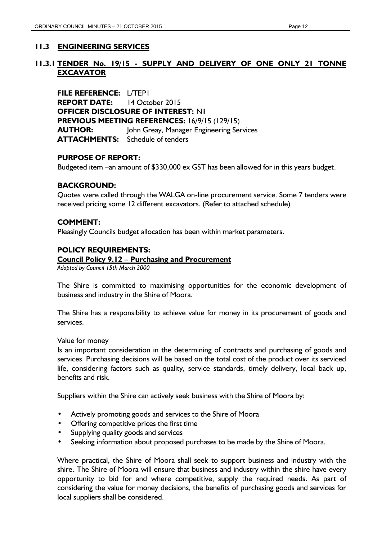## <span id="page-12-0"></span>**11.3 ENGINEERING SERVICES**

## <span id="page-12-1"></span>**11.3.1 TENDER No. 19/15 - SUPPLY AND DELIVERY OF ONE ONLY 21 TONNE EXCAVATOR**

**FILE REFERENCE:** L/TEP1 **REPORT DATE:** 14 October 2015 **OFFICER DISCLOSURE OF INTEREST:** Nil **PREVIOUS MEETING REFERENCES:** 16/9/15 (129/15) **AUTHOR:** John Greay, Manager Engineering Services **ATTACHMENTS:** Schedule of tenders

## **PURPOSE OF REPORT:**

Budgeted item –an amount of \$330,000 ex GST has been allowed for in this years budget.

## **BACKGROUND:**

Quotes were called through the WALGA on-line procurement service. Some 7 tenders were received pricing some 12 different excavators. (Refer to attached schedule)

## **COMMENT:**

Pleasingly Councils budget allocation has been within market parameters.

## **POLICY REQUIREMENTS:**

#### **Council Policy 9.12 – Purchasing and Procurement**

*Adopted by Council 15th March 2000*

The Shire is committed to maximising opportunities for the economic development of business and industry in the Shire of Moora.

The Shire has a responsibility to achieve value for money in its procurement of goods and services.

Value for money

Is an important consideration in the determining of contracts and purchasing of goods and services. Purchasing decisions will be based on the total cost of the product over its serviced life, considering factors such as quality, service standards, timely delivery, local back up, benefits and risk.

Suppliers within the Shire can actively seek business with the Shire of Moora by:

- Actively promoting goods and services to the Shire of Moora
- Offering competitive prices the first time
- Supplying quality goods and services
- Seeking information about proposed purchases to be made by the Shire of Moora.

Where practical, the Shire of Moora shall seek to support business and industry with the shire. The Shire of Moora will ensure that business and industry within the shire have every opportunity to bid for and where competitive, supply the required needs. As part of considering the value for money decisions, the benefits of purchasing goods and services for local suppliers shall be considered.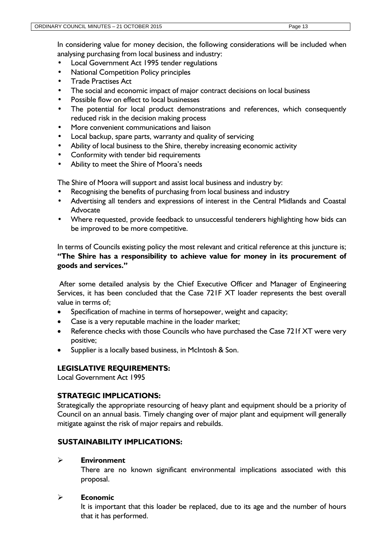In considering value for money decision, the following considerations will be included when analysing purchasing from local business and industry:

- Local Government Act 1995 tender regulations
- National Competition Policy principles
- Trade Practises Act
- The social and economic impact of major contract decisions on local business
- Possible flow on effect to local businesses
- The potential for local product demonstrations and references, which consequently reduced risk in the decision making process
- More convenient communications and liaison
- Local backup, spare parts, warranty and quality of servicing
- Ability of local business to the Shire, thereby increasing economic activity
- Conformity with tender bid requirements
- Ability to meet the Shire of Moora's needs

The Shire of Moora will support and assist local business and industry by:

- Recognising the benefits of purchasing from local business and industry
- Advertising all tenders and expressions of interest in the Central Midlands and Coastal Advocate
- Where requested, provide feedback to unsuccessful tenderers highlighting how bids can be improved to be more competitive.

In terms of Councils existing policy the most relevant and critical reference at this juncture is; **"The Shire has a responsibility to achieve value for money in its procurement of goods and services."**

After some detailed analysis by the Chief Executive Officer and Manager of Engineering Services, it has been concluded that the Case 721F XT loader represents the best overall value in terms of;

- Specification of machine in terms of horsepower, weight and capacity;
- Case is a very reputable machine in the loader market;
- Reference checks with those Councils who have purchased the Case 721f XT were very positive;
- Supplier is a locally based business, in McIntosh & Son.

## **LEGISLATIVE REQUIREMENTS:**

Local Government Act 1995

## **STRATEGIC IMPLICATIONS:**

Strategically the appropriate resourcing of heavy plant and equipment should be a priority of Council on an annual basis. Timely changing over of major plant and equipment will generally mitigate against the risk of major repairs and rebuilds.

## **SUSTAINABILITY IMPLICATIONS:**

## **Environment**

There are no known significant environmental implications associated with this proposal.

## **Economic**

It is important that this loader be replaced, due to its age and the number of hours that it has performed.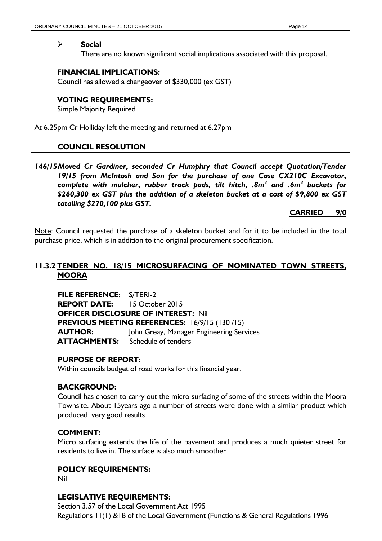#### **Social**

There are no known significant social implications associated with this proposal.

## **FINANCIAL IMPLICATIONS:**

Council has allowed a changeover of \$330,000 (ex GST)

## **VOTING REQUIREMENTS:**

Simple Majority Required

At 6.25pm Cr Holliday left the meeting and returned at 6.27pm

## **COUNCIL RESOLUTION**

*146/15Moved Cr Gardiner, seconded Cr Humphry that Council accept Quotation/Tender 19/15 from McIntosh and Son for the purchase of one Case CX210C Excavator, complete with mulcher, rubber track pads, tilt hitch, .8m<sup>3</sup> and .6m<sup>3</sup> buckets for \$260,300 ex GST plus the addition of a skeleton bucket at a cost of \$9,800 ex GST totalling \$270,100 plus GST.*

**CARRIED 9/0**

Note: Council requested the purchase of a skeleton bucket and for it to be included in the total purchase price, which is in addition to the original procurement specification.

## <span id="page-14-0"></span>**11.3.2 TENDER NO. 18/15 MICROSURFACING OF NOMINATED TOWN STREETS, MOORA**

**FILE REFERENCE:** S/TERI-2 **REPORT DATE:** 15 October 2015 **OFFICER DISCLOSURE OF INTEREST:** Nil **PREVIOUS MEETING REFERENCES:** 16/9/15 (130 /15) **AUTHOR:** John Greay, Manager Engineering Services **ATTACHMENTS:** Schedule of tenders

## **PURPOSE OF REPORT:**

Within councils budget of road works for this financial year.

## **BACKGROUND:**

Council has chosen to carry out the micro surfacing of some of the streets within the Moora Townsite. About 15years ago a number of streets were done with a similar product which produced very good results

## **COMMENT:**

Micro surfacing extends the life of the pavement and produces a much quieter street for residents to live in. The surface is also much smoother

## **POLICY REQUIREMENTS:**

Nil

## **LEGISLATIVE REQUIREMENTS:**

Section 3.57 of the Local Government Act 1995 Regulations 11(1) &18 of the Local Government (Functions & General Regulations 1996